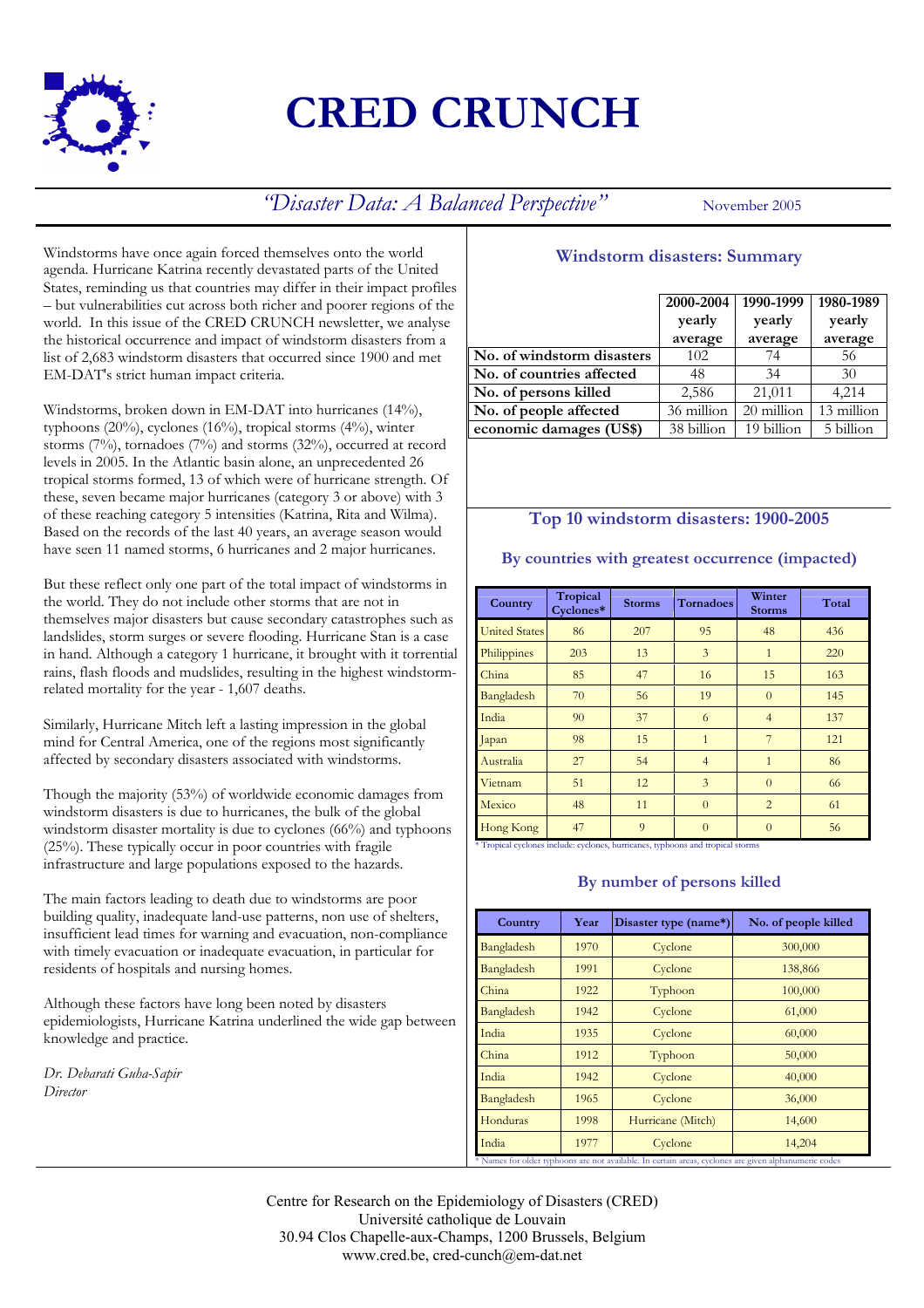

# **CRED CRUNCH**

*"Disaster Data: A Balanced Perspective"* November 2005

Windstorms have once again forced themselves onto the world agenda. Hurricane Katrina recently devastated parts of the United States, reminding us that countries may differ in their impact profiles – but vulnerabilities cut across both richer and poorer regions of the world. In this issue of the CRED CRUNCH newsletter, we analyse the historical occurrence and impact of windstorm disasters from a list of 2,683 windstorm disasters that occurred since 1900 and met EM-DAT's strict human impact criteria.

Windstorms, broken down in EM-DAT into hurricanes (14%), typhoons (20%), cyclones (16%), tropical storms (4%), winter storms (7%), tornadoes (7%) and storms (32%), occurred at record levels in 2005. In the Atlantic basin alone, an unprecedented 26 tropical storms formed, 13 of which were of hurricane strength. Of these, seven became major hurricanes (category 3 or above) with 3 of these reaching category 5 intensities (Katrina, Rita and Wilma). Based on the records of the last 40 years, an average season would have seen 11 named storms, 6 hurricanes and 2 major hurricanes.

But these reflect only one part of the total impact of windstorms in the world. They do not include other storms that are not in themselves major disasters but cause secondary catastrophes such as landslides, storm surges or severe flooding. Hurricane Stan is a case in hand. Although a category 1 hurricane, it brought with it torrential rains, flash floods and mudslides, resulting in the highest windstormrelated mortality for the year - 1,607 deaths.

Similarly, Hurricane Mitch left a lasting impression in the global mind for Central America, one of the regions most significantly affected by secondary disasters associated with windstorms.

Though the majority (53%) of worldwide economic damages from windstorm disasters is due to hurricanes, the bulk of the global windstorm disaster mortality is due to cyclones (66%) and typhoons (25%). These typically occur in poor countries with fragile infrastructure and large populations exposed to the hazards.

The main factors leading to death due to windstorms are poor building quality, inadequate land-use patterns, non use of shelters, insufficient lead times for warning and evacuation, non-compliance with timely evacuation or inadequate evacuation, in particular for residents of hospitals and nursing homes.

Although these factors have long been noted by disasters epidemiologists, Hurricane Katrina underlined the wide gap between knowledge and practice.

*Dr. Debarati Guha-Sapir Director* 

# **Windstorm disasters: Summary**

|                            | 2000-2004<br>yearly<br>average | 1990-1999<br>yearly<br>average | 1980-1989<br>yearly<br>average |
|----------------------------|--------------------------------|--------------------------------|--------------------------------|
| No. of windstorm disasters | 102                            | 74                             | 56                             |
| No. of countries affected  | 48                             | 34                             | 30                             |
| No. of persons killed      | 2,586                          | 21,011                         | 4,214                          |
| No. of people affected     | 36 million                     | 20 million                     | 13 million                     |
| economic damages (US\$)    | 38 billion                     | 19 billion                     | 5 billion                      |

## **Top 10 windstorm disasters: 1900-2005**

| Country              | Tropical<br>Cyclones* | <b>Storms</b> | <b>Tornadoes</b> | Winter<br><b>Storms</b> | Total |
|----------------------|-----------------------|---------------|------------------|-------------------------|-------|
| <b>United States</b> | 86                    | 207           | 95               | 48                      | 436   |
| Philippines          | 203                   | 13            | 3                | $\mathbf{1}$            | 220   |
| China                | 85                    | 47            | 16               | 15                      | 163   |
| Bangladesh           | 70                    | 56            | 19               | $\Omega$                | 145   |
| India                | 90                    | 37            | 6                | $\overline{4}$          | 137   |
| Japan                | 98                    | 15            | $\mathbf{1}$     | 7                       | 121   |
| Australia            | 27                    | 54            | $\overline{4}$   | $\mathbf{1}$            | 86    |
| Vietnam              | 51                    | 12            | 3                | $\Omega$                | 66    |
| Mexico               | 48                    | 11            | $\theta$         | $\overline{2}$          | 61    |
| Hong Kong            | 47                    | 9             | $\Omega$         | $\Omega$                | 56    |

### **By number of persons killed**

| Country    | Year | Disaster type (name*) | No. of people killed |
|------------|------|-----------------------|----------------------|
| Bangladesh | 1970 | Cyclone               | 300,000              |
| Bangladesh | 1991 | Cyclone               | 138,866              |
| China      | 1922 | Typhoon               | 100,000              |
| Bangladesh | 1942 | Cyclone               | 61,000               |
| India      | 1935 | Cyclone               | 60,000               |
| China      | 1912 | Typhoon               | 50,000               |
| India      | 1942 | Cyclone               | 40,000               |
| Bangladesh | 1965 | Cyclone               | 36,000               |
| Honduras   | 1998 | Hurricane (Mitch)     | 14,600               |
| India      | 1977 | Cyclone               | 14,204               |

Centre for Research on the Epidemiology of Disasters (CRED) Université catholique de Louvain 30.94 Clos Chapelle-aux-Champs, 1200 Brussels, Belgium www.cred.be, cred-cunch@em-dat.net

## **By countries with greatest occurrence (impacted)**